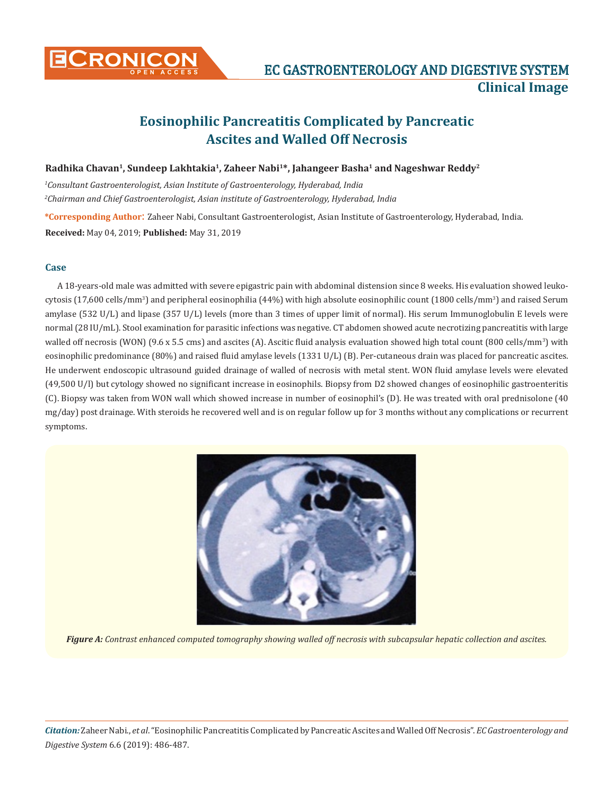

## **Eosinophilic Pancreatitis Complicated by Pancreatic Ascites and Walled Off Necrosis**

## Radhika Chavan<sup>1</sup>, Sundeep Lakhtakia<sup>1</sup>, Zaheer Nabi<sup>1\*</sup>, Jahangeer Basha<sup>1</sup> and Nageshwar Reddy<sup>2</sup>

*1 Consultant Gastroenterologist, Asian Institute of Gastroenterology, Hyderabad, India 2 Chairman and Chief Gastroenterologist, Asian institute of Gastroenterology, Hyderabad, India*

**\*Corresponding Author**: Zaheer Nabi, Consultant Gastroenterologist, Asian Institute of Gastroenterology, Hyderabad, India. **Received:** May 04, 2019; **Published:** May 31, 2019

## **Case**

A 18-years-old male was admitted with severe epigastric pain with abdominal distension since 8 weeks. His evaluation showed leukocytosis (17,600 cells/mm<sup>3</sup>) and peripheral eosinophilia (44%) with high absolute eosinophilic count (1800 cells/mm<sup>3</sup>) and raised Serum amylase (532 U/L) and lipase (357 U/L) levels (more than 3 times of upper limit of normal). His serum Immunoglobulin E levels were normal (28 IU/mL). Stool examination for parasitic infections was negative. CT abdomen showed acute necrotizing pancreatitis with large walled off necrosis (WON) (9.6 x 5.5 cms) and ascites (A). Ascitic fluid analysis evaluation showed high total count (800 cells/mm<sup>3</sup>) with eosinophilic predominance (80%) and raised fluid amylase levels (1331 U/L) (B). Per-cutaneous drain was placed for pancreatic ascites. He underwent endoscopic ultrasound guided drainage of walled of necrosis with metal stent. WON fluid amylase levels were elevated (49,500 U/l) but cytology showed no significant increase in eosinophils. Biopsy from D2 showed changes of eosinophilic gastroenteritis (C). Biopsy was taken from WON wall which showed increase in number of eosinophil's (D). He was treated with oral prednisolone (40 mg/day) post drainage. With steroids he recovered well and is on regular follow up for 3 months without any complications or recurrent symptoms.



*Figure A: Contrast enhanced computed tomography showing walled off necrosis with subcapsular hepatic collection and ascites.*

*Citation:* Zaheer Nabi., *et al*. "Eosinophilic Pancreatitis Complicated by Pancreatic Ascites and Walled Off Necrosis". *EC Gastroenterology and Digestive System* 6.6 (2019): 486-487.